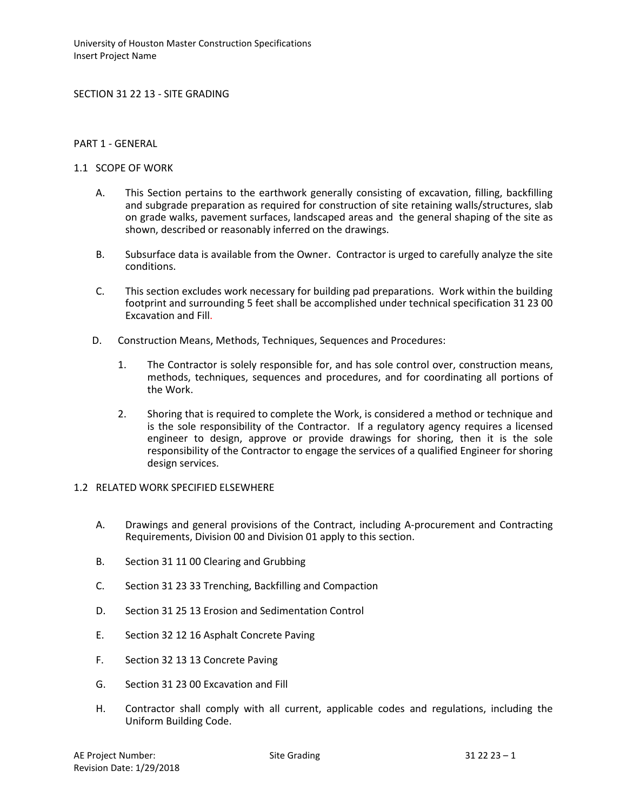University of Houston Master Construction Specifications Insert Project Name

SECTION 31 22 13 - SITE GRADING

### PART 1 - GENERAL

### 1.1 SCOPE OF WORK

- A. This Section pertains to the earthwork generally consisting of excavation, filling, backfilling and subgrade preparation as required for construction of site retaining walls/structures, slab on grade walks, pavement surfaces, landscaped areas and the general shaping of the site as shown, described or reasonably inferred on the drawings.
- B. Subsurface data is available from the Owner. Contractor is urged to carefully analyze the site conditions.
- C. This section excludes work necessary for building pad preparations. Work within the building footprint and surrounding 5 feet shall be accomplished under technical specification 31 23 00 Excavation and Fill.
- D. Construction Means, Methods, Techniques, Sequences and Procedures:
	- 1. The Contractor is solely responsible for, and has sole control over, construction means, methods, techniques, sequences and procedures, and for coordinating all portions of the Work.
	- 2. Shoring that is required to complete the Work, is considered a method or technique and is the sole responsibility of the Contractor. If a regulatory agency requires a licensed engineer to design, approve or provide drawings for shoring, then it is the sole responsibility of the Contractor to engage the services of a qualified Engineer for shoring design services.
- 1.2 RELATED WORK SPECIFIED ELSEWHERE
	- A. Drawings and general provisions of the Contract, including A-procurement and Contracting Requirements, Division 00 and Division 01 apply to this section.
	- B. Section 31 11 00 Clearing and Grubbing
	- C. Section 31 23 33 Trenching, Backfilling and Compaction
	- D. Section 31 25 13 Erosion and Sedimentation Control
	- E. Section 32 12 16 Asphalt Concrete Paving
	- F. Section 32 13 13 Concrete Paving
	- G. Section 31 23 00 Excavation and Fill
	- H. Contractor shall comply with all current, applicable codes and regulations, including the Uniform Building Code.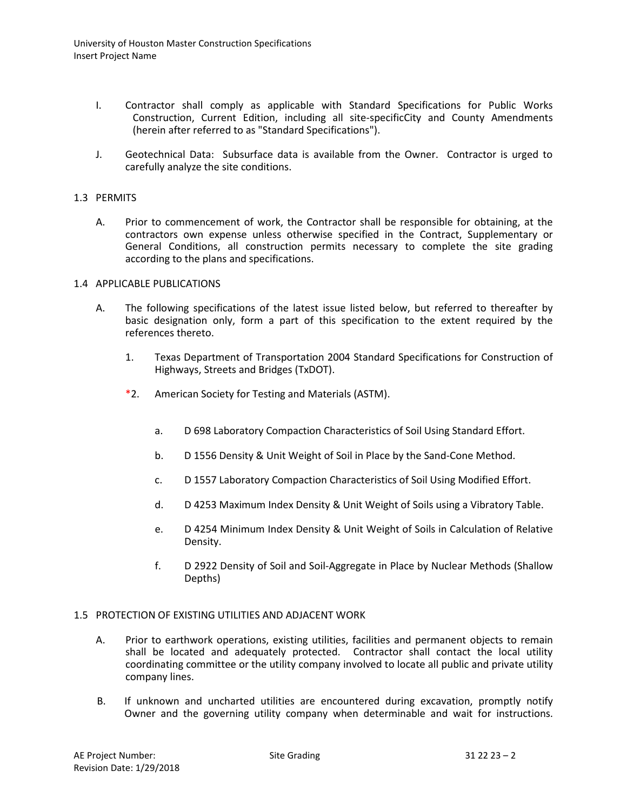- I. Contractor shall comply as applicable with Standard Specifications for Public Works Construction, Current Edition, including all site-specificCity and County Amendments (herein after referred to as "Standard Specifications").
- J. Geotechnical Data: Subsurface data is available from the Owner. Contractor is urged to carefully analyze the site conditions.

### 1.3 PERMITS

A. Prior to commencement of work, the Contractor shall be responsible for obtaining, at the contractors own expense unless otherwise specified in the Contract, Supplementary or General Conditions, all construction permits necessary to complete the site grading according to the plans and specifications.

### 1.4 APPLICABLE PUBLICATIONS

- A. The following specifications of the latest issue listed below, but referred to thereafter by basic designation only, form a part of this specification to the extent required by the references thereto.
	- 1. Texas Department of Transportation 2004 Standard Specifications for Construction of Highways, Streets and Bridges (TxDOT).
	- \*2. American Society for Testing and Materials (ASTM).
		- a. D 698 Laboratory Compaction Characteristics of Soil Using Standard Effort.
		- b. D 1556 Density & Unit Weight of Soil in Place by the Sand-Cone Method.
		- c. D 1557 Laboratory Compaction Characteristics of Soil Using Modified Effort.
		- d. D 4253 Maximum Index Density & Unit Weight of Soils using a Vibratory Table.
		- e. D 4254 Minimum Index Density & Unit Weight of Soils in Calculation of Relative Density.
		- f. D 2922 Density of Soil and Soil-Aggregate in Place by Nuclear Methods (Shallow Depths)

#### 1.5 PROTECTION OF EXISTING UTILITIES AND ADJACENT WORK

- A. Prior to earthwork operations, existing utilities, facilities and permanent objects to remain shall be located and adequately protected. Contractor shall contact the local utility coordinating committee or the utility company involved to locate all public and private utility company lines.
- B. If unknown and uncharted utilities are encountered during excavation, promptly notify Owner and the governing utility company when determinable and wait for instructions.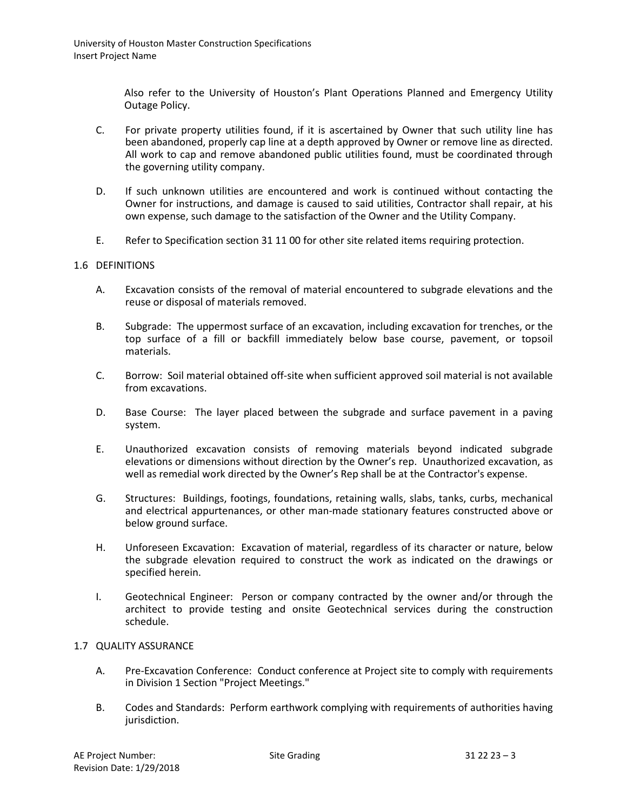Also refer to the University of Houston's Plant Operations Planned and Emergency Utility Outage Policy.

- C. For private property utilities found, if it is ascertained by Owner that such utility line has been abandoned, properly cap line at a depth approved by Owner or remove line as directed. All work to cap and remove abandoned public utilities found, must be coordinated through the governing utility company.
- D. If such unknown utilities are encountered and work is continued without contacting the Owner for instructions, and damage is caused to said utilities, Contractor shall repair, at his own expense, such damage to the satisfaction of the Owner and the Utility Company.
- E. Refer to Specification section 31 11 00 for other site related items requiring protection.

## 1.6 DEFINITIONS

- A. Excavation consists of the removal of material encountered to subgrade elevations and the reuse or disposal of materials removed.
- B. Subgrade: The uppermost surface of an excavation, including excavation for trenches, or the top surface of a fill or backfill immediately below base course, pavement, or topsoil materials.
- C. Borrow: Soil material obtained off-site when sufficient approved soil material is not available from excavations.
- D. Base Course: The layer placed between the subgrade and surface pavement in a paving system.
- E. Unauthorized excavation consists of removing materials beyond indicated subgrade elevations or dimensions without direction by the Owner's rep. Unauthorized excavation, as well as remedial work directed by the Owner's Rep shall be at the Contractor's expense.
- G. Structures: Buildings, footings, foundations, retaining walls, slabs, tanks, curbs, mechanical and electrical appurtenances, or other man-made stationary features constructed above or below ground surface.
- H. Unforeseen Excavation: Excavation of material, regardless of its character or nature, below the subgrade elevation required to construct the work as indicated on the drawings or specified herein.
- I. Geotechnical Engineer: Person or company contracted by the owner and/or through the architect to provide testing and onsite Geotechnical services during the construction schedule.

#### 1.7 QUALITY ASSURANCE

- A. Pre-Excavation Conference: Conduct conference at Project site to comply with requirements in Division 1 Section "Project Meetings."
- B. Codes and Standards: Perform earthwork complying with requirements of authorities having jurisdiction.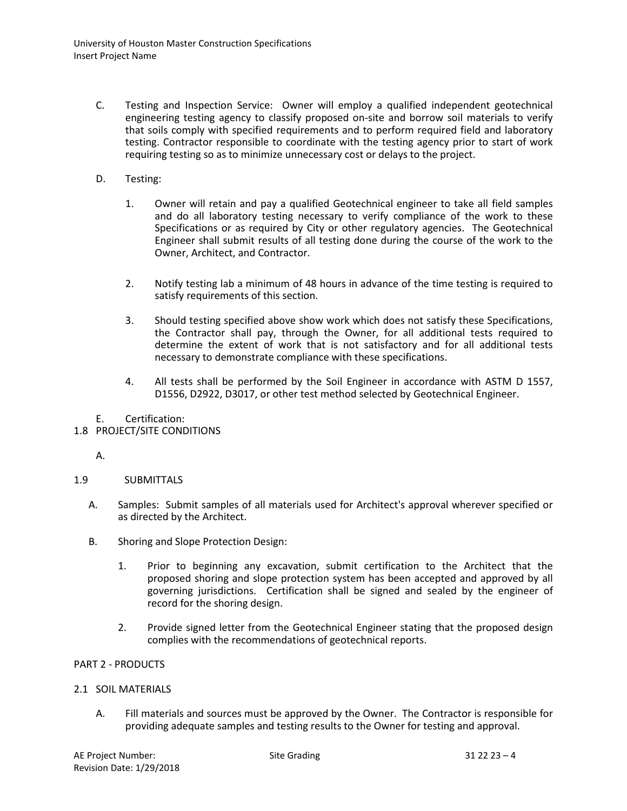- C. Testing and Inspection Service: Owner will employ a qualified independent geotechnical engineering testing agency to classify proposed on-site and borrow soil materials to verify that soils comply with specified requirements and to perform required field and laboratory testing. Contractor responsible to coordinate with the testing agency prior to start of work requiring testing so as to minimize unnecessary cost or delays to the project.
- D. Testing:
	- 1. Owner will retain and pay a qualified Geotechnical engineer to take all field samples and do all laboratory testing necessary to verify compliance of the work to these Specifications or as required by City or other regulatory agencies. The Geotechnical Engineer shall submit results of all testing done during the course of the work to the Owner, Architect, and Contractor.
	- 2. Notify testing lab a minimum of 48 hours in advance of the time testing is required to satisfy requirements of this section.
	- 3. Should testing specified above show work which does not satisfy these Specifications, the Contractor shall pay, through the Owner, for all additional tests required to determine the extent of work that is not satisfactory and for all additional tests necessary to demonstrate compliance with these specifications.
	- 4. All tests shall be performed by the Soil Engineer in accordance with ASTM D 1557, D1556, D2922, D3017, or other test method selected by Geotechnical Engineer.

E. Certification:

1.8 PROJECT/SITE CONDITIONS

A.

# 1.9 SUBMITTALS

- A. Samples: Submit samples of all materials used for Architect's approval wherever specified or as directed by the Architect.
- B. Shoring and Slope Protection Design:
	- 1. Prior to beginning any excavation, submit certification to the Architect that the proposed shoring and slope protection system has been accepted and approved by all governing jurisdictions. Certification shall be signed and sealed by the engineer of record for the shoring design.
	- 2. Provide signed letter from the Geotechnical Engineer stating that the proposed design complies with the recommendations of geotechnical reports.

# PART 2 - PRODUCTS

#### 2.1 SOIL MATERIALS

A. Fill materials and sources must be approved by the Owner. The Contractor is responsible for providing adequate samples and testing results to the Owner for testing and approval.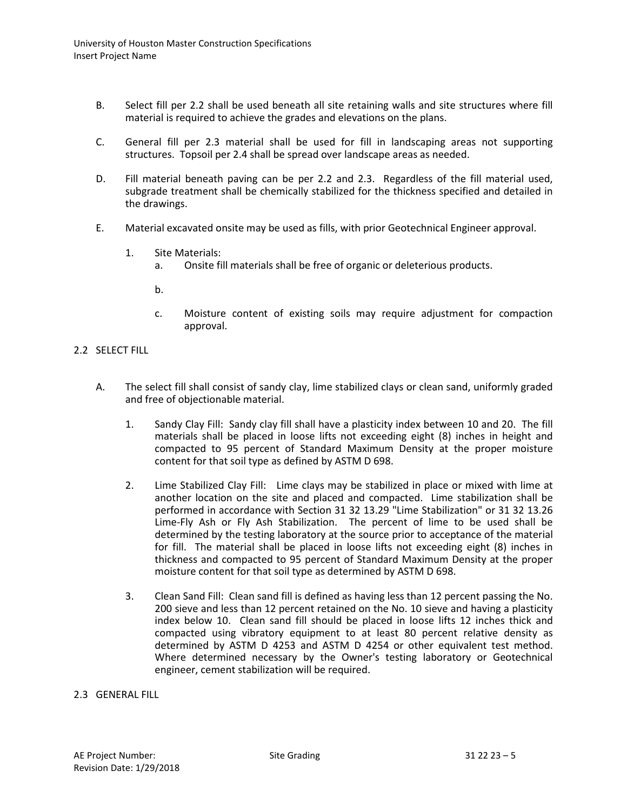- B. Select fill per 2.2 shall be used beneath all site retaining walls and site structures where fill material is required to achieve the grades and elevations on the plans.
- C. General fill per 2.3 material shall be used for fill in landscaping areas not supporting structures. Topsoil per 2.4 shall be spread over landscape areas as needed.
- D. Fill material beneath paving can be per 2.2 and 2.3. Regardless of the fill material used, subgrade treatment shall be chemically stabilized for the thickness specified and detailed in the drawings.
- E. Material excavated onsite may be used as fills, with prior Geotechnical Engineer approval.
	- 1. Site Materials:
		- a. Onsite fill materials shall be free of organic or deleterious products.
		- b.
		- c. Moisture content of existing soils may require adjustment for compaction approval.
- 2.2 SELECT FILL
	- A. The select fill shall consist of sandy clay, lime stabilized clays or clean sand, uniformly graded and free of objectionable material.
		- 1. Sandy Clay Fill: Sandy clay fill shall have a plasticity index between 10 and 20. The fill materials shall be placed in loose lifts not exceeding eight (8) inches in height and compacted to 95 percent of Standard Maximum Density at the proper moisture content for that soil type as defined by ASTM D 698.
		- 2. Lime Stabilized Clay Fill: Lime clays may be stabilized in place or mixed with lime at another location on the site and placed and compacted. Lime stabilization shall be performed in accordance with Section 31 32 13.29 "Lime Stabilization" or 31 32 13.26 Lime-Fly Ash or Fly Ash Stabilization. The percent of lime to be used shall be determined by the testing laboratory at the source prior to acceptance of the material for fill. The material shall be placed in loose lifts not exceeding eight (8) inches in thickness and compacted to 95 percent of Standard Maximum Density at the proper moisture content for that soil type as determined by ASTM D 698.
		- 3. Clean Sand Fill: Clean sand fill is defined as having less than 12 percent passing the No. 200 sieve and less than 12 percent retained on the No. 10 sieve and having a plasticity index below 10. Clean sand fill should be placed in loose lifts 12 inches thick and compacted using vibratory equipment to at least 80 percent relative density as determined by ASTM D 4253 and ASTM D 4254 or other equivalent test method. Where determined necessary by the Owner's testing laboratory or Geotechnical engineer, cement stabilization will be required.

#### 2.3 GENERAL FILL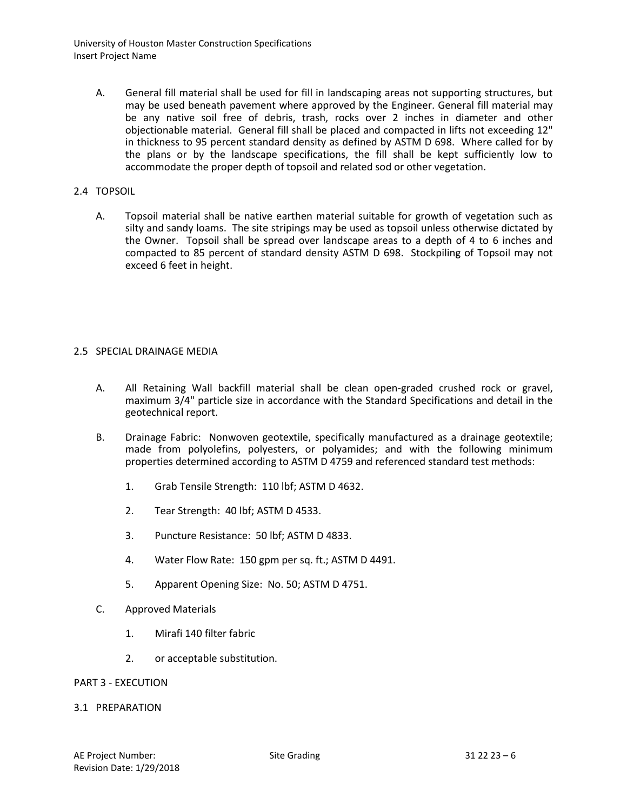University of Houston Master Construction Specifications Insert Project Name

A. General fill material shall be used for fill in landscaping areas not supporting structures, but may be used beneath pavement where approved by the Engineer. General fill material may be any native soil free of debris, trash, rocks over 2 inches in diameter and other objectionable material. General fill shall be placed and compacted in lifts not exceeding 12" in thickness to 95 percent standard density as defined by ASTM D 698. Where called for by the plans or by the landscape specifications, the fill shall be kept sufficiently low to accommodate the proper depth of topsoil and related sod or other vegetation.

# 2.4 TOPSOIL

A. Topsoil material shall be native earthen material suitable for growth of vegetation such as silty and sandy loams. The site stripings may be used as topsoil unless otherwise dictated by the Owner. Topsoil shall be spread over landscape areas to a depth of 4 to 6 inches and compacted to 85 percent of standard density ASTM D 698. Stockpiling of Topsoil may not exceed 6 feet in height.

### 2.5 SPECIAL DRAINAGE MEDIA

- A. All Retaining Wall backfill material shall be clean open-graded crushed rock or gravel, maximum 3/4" particle size in accordance with the Standard Specifications and detail in the geotechnical report.
- B. Drainage Fabric: Nonwoven geotextile, specifically manufactured as a drainage geotextile; made from polyolefins, polyesters, or polyamides; and with the following minimum properties determined according to ASTM D 4759 and referenced standard test methods:
	- 1. Grab Tensile Strength: 110 lbf; ASTM D 4632.
	- 2. Tear Strength: 40 lbf; ASTM D 4533.
	- 3. Puncture Resistance: 50 lbf; ASTM D 4833.
	- 4. Water Flow Rate: 150 gpm per sq. ft.; ASTM D 4491.
	- 5. Apparent Opening Size: No. 50; ASTM D 4751.
- C. Approved Materials
	- 1. Mirafi 140 filter fabric
	- 2. or acceptable substitution.

### PART 3 - EXECUTION

#### 3.1 PREPARATION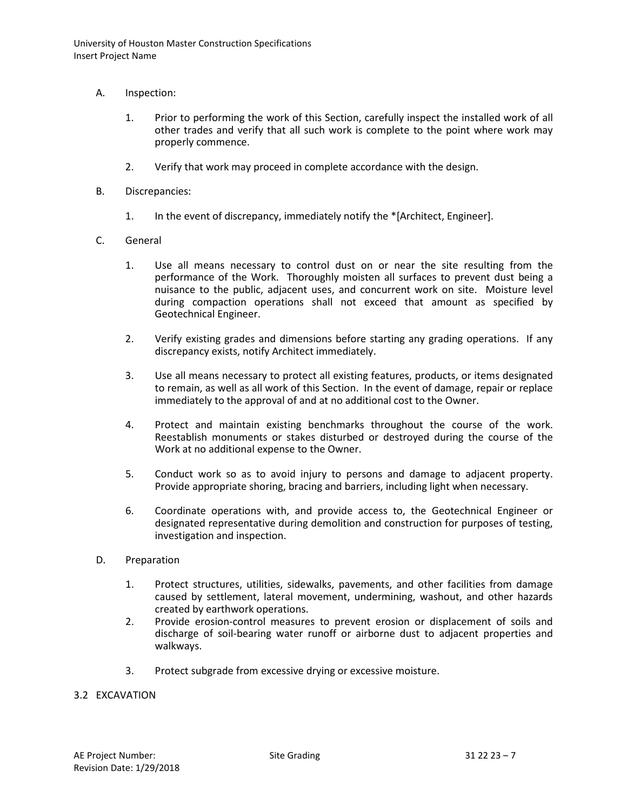- A. Inspection:
	- 1. Prior to performing the work of this Section, carefully inspect the installed work of all other trades and verify that all such work is complete to the point where work may properly commence.
	- 2. Verify that work may proceed in complete accordance with the design.
- B. Discrepancies:
	- 1. In the event of discrepancy, immediately notify the \*[Architect, Engineer].
- C. General
	- 1. Use all means necessary to control dust on or near the site resulting from the performance of the Work. Thoroughly moisten all surfaces to prevent dust being a nuisance to the public, adjacent uses, and concurrent work on site. Moisture level during compaction operations shall not exceed that amount as specified by Geotechnical Engineer.
	- 2. Verify existing grades and dimensions before starting any grading operations. If any discrepancy exists, notify Architect immediately.
	- 3. Use all means necessary to protect all existing features, products, or items designated to remain, as well as all work of this Section. In the event of damage, repair or replace immediately to the approval of and at no additional cost to the Owner.
	- 4. Protect and maintain existing benchmarks throughout the course of the work. Reestablish monuments or stakes disturbed or destroyed during the course of the Work at no additional expense to the Owner.
	- 5. Conduct work so as to avoid injury to persons and damage to adjacent property. Provide appropriate shoring, bracing and barriers, including light when necessary.
	- 6. Coordinate operations with, and provide access to, the Geotechnical Engineer or designated representative during demolition and construction for purposes of testing, investigation and inspection.
- D. Preparation
	- 1. Protect structures, utilities, sidewalks, pavements, and other facilities from damage caused by settlement, lateral movement, undermining, washout, and other hazards created by earthwork operations.
	- 2. Provide erosion-control measures to prevent erosion or displacement of soils and discharge of soil-bearing water runoff or airborne dust to adjacent properties and walkways.
	- 3. Protect subgrade from excessive drying or excessive moisture.

### 3.2 EXCAVATION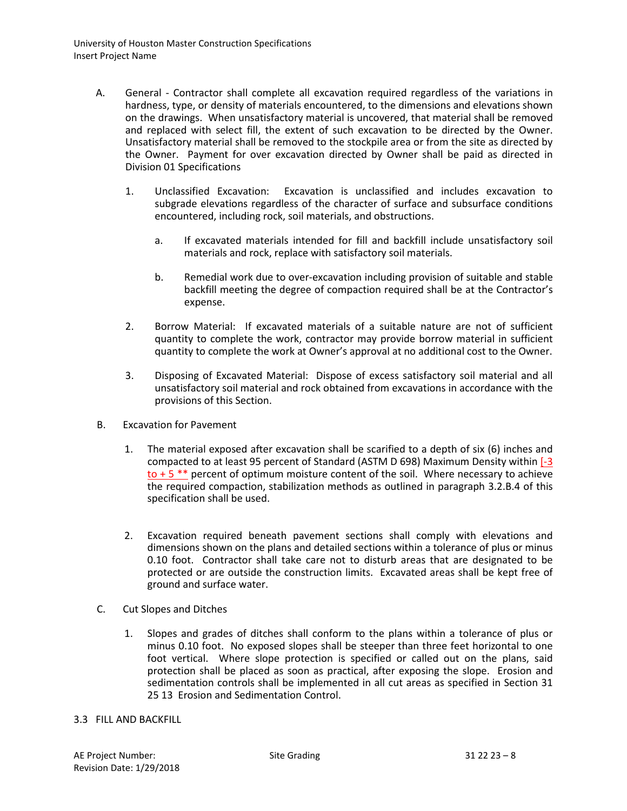- A. General Contractor shall complete all excavation required regardless of the variations in hardness, type, or density of materials encountered, to the dimensions and elevations shown on the drawings. When unsatisfactory material is uncovered, that material shall be removed and replaced with select fill, the extent of such excavation to be directed by the Owner. Unsatisfactory material shall be removed to the stockpile area or from the site as directed by the Owner. Payment for over excavation directed by Owner shall be paid as directed in Division 01 Specifications
	- 1. Unclassified Excavation: Excavation is unclassified and includes excavation to subgrade elevations regardless of the character of surface and subsurface conditions encountered, including rock, soil materials, and obstructions.
		- a. If excavated materials intended for fill and backfill include unsatisfactory soil materials and rock, replace with satisfactory soil materials.
		- b. Remedial work due to over-excavation including provision of suitable and stable backfill meeting the degree of compaction required shall be at the Contractor's expense.
	- 2. Borrow Material: If excavated materials of a suitable nature are not of sufficient quantity to complete the work, contractor may provide borrow material in sufficient quantity to complete the work at Owner's approval at no additional cost to the Owner.
	- 3. Disposing of Excavated Material: Dispose of excess satisfactory soil material and all unsatisfactory soil material and rock obtained from excavations in accordance with the provisions of this Section.
- B. Excavation for Pavement
	- 1. The material exposed after excavation shall be scarified to a depth of six (6) inches and compacted to at least 95 percent of Standard (ASTM D 698) Maximum Density within [-3 to + 5 \*\* percent of optimum moisture content of the soil. Where necessary to achieve the required compaction, stabilization methods as outlined in paragraph 3.2.B.4 of this specification shall be used.
	- 2. Excavation required beneath pavement sections shall comply with elevations and dimensions shown on the plans and detailed sections within a tolerance of plus or minus 0.10 foot. Contractor shall take care not to disturb areas that are designated to be protected or are outside the construction limits. Excavated areas shall be kept free of ground and surface water.
- C. Cut Slopes and Ditches
	- 1. Slopes and grades of ditches shall conform to the plans within a tolerance of plus or minus 0.10 foot. No exposed slopes shall be steeper than three feet horizontal to one foot vertical. Where slope protection is specified or called out on the plans, said protection shall be placed as soon as practical, after exposing the slope. Erosion and sedimentation controls shall be implemented in all cut areas as specified in Section 31 25 13 Erosion and Sedimentation Control.

#### 3.3 FILL AND BACKFILL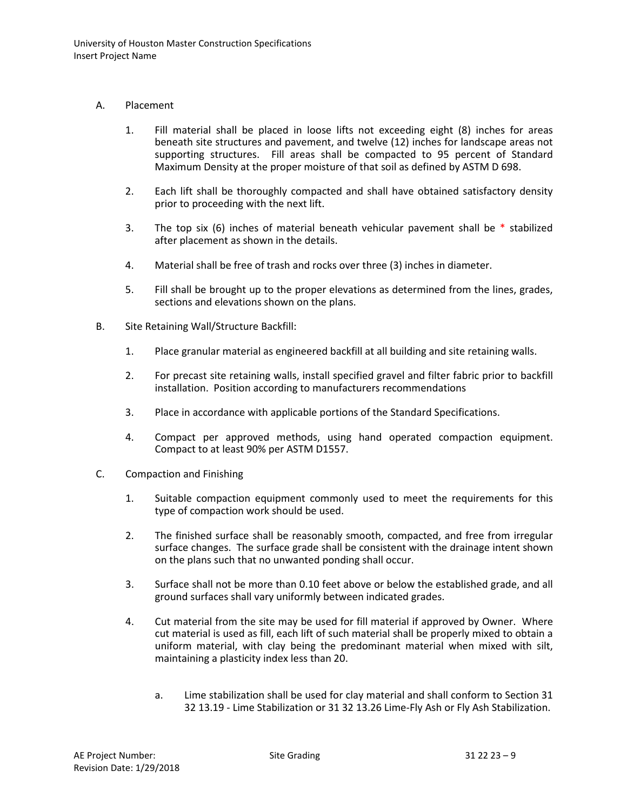- A. Placement
	- 1. Fill material shall be placed in loose lifts not exceeding eight (8) inches for areas beneath site structures and pavement, and twelve (12) inches for landscape areas not supporting structures. Fill areas shall be compacted to 95 percent of Standard Maximum Density at the proper moisture of that soil as defined by ASTM D 698.
	- 2. Each lift shall be thoroughly compacted and shall have obtained satisfactory density prior to proceeding with the next lift.
	- 3. The top six (6) inches of material beneath vehicular pavement shall be  $*$  stabilized after placement as shown in the details.
	- 4. Material shall be free of trash and rocks over three (3) inches in diameter.
	- 5. Fill shall be brought up to the proper elevations as determined from the lines, grades, sections and elevations shown on the plans.
- B. Site Retaining Wall/Structure Backfill:
	- 1. Place granular material as engineered backfill at all building and site retaining walls.
	- 2. For precast site retaining walls, install specified gravel and filter fabric prior to backfill installation. Position according to manufacturers recommendations
	- 3. Place in accordance with applicable portions of the Standard Specifications.
	- 4. Compact per approved methods, using hand operated compaction equipment. Compact to at least 90% per ASTM D1557.
- C. Compaction and Finishing
	- 1. Suitable compaction equipment commonly used to meet the requirements for this type of compaction work should be used.
	- 2. The finished surface shall be reasonably smooth, compacted, and free from irregular surface changes. The surface grade shall be consistent with the drainage intent shown on the plans such that no unwanted ponding shall occur.
	- 3. Surface shall not be more than 0.10 feet above or below the established grade, and all ground surfaces shall vary uniformly between indicated grades.
	- 4. Cut material from the site may be used for fill material if approved by Owner. Where cut material is used as fill, each lift of such material shall be properly mixed to obtain a uniform material, with clay being the predominant material when mixed with silt, maintaining a plasticity index less than 20.
		- a. Lime stabilization shall be used for clay material and shall conform to Section 31 32 13.19 - Lime Stabilization or 31 32 13.26 Lime-Fly Ash or Fly Ash Stabilization.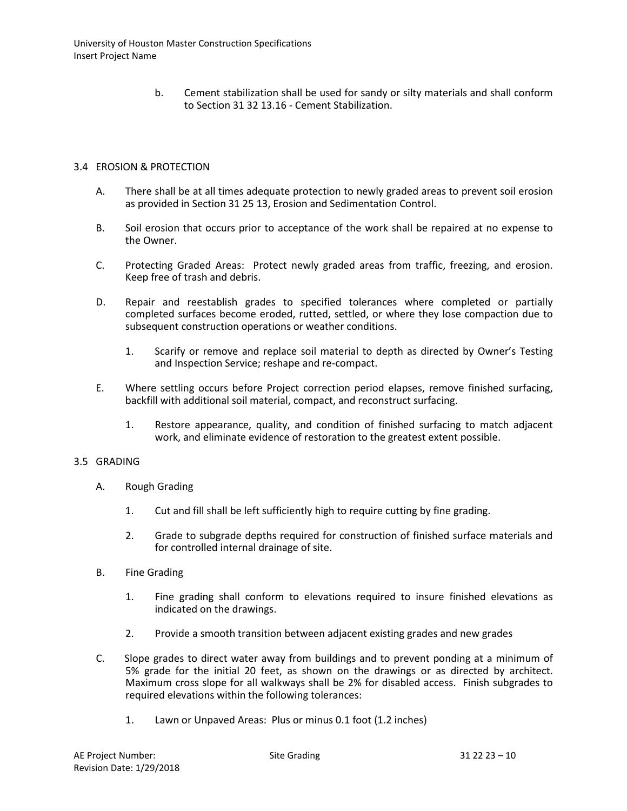b. Cement stabilization shall be used for sandy or silty materials and shall conform to Section 31 32 13.16 - Cement Stabilization.

### 3.4 EROSION & PROTECTION

- A. There shall be at all times adequate protection to newly graded areas to prevent soil erosion as provided in Section 31 25 13, Erosion and Sedimentation Control.
- B. Soil erosion that occurs prior to acceptance of the work shall be repaired at no expense to the Owner.
- C. Protecting Graded Areas: Protect newly graded areas from traffic, freezing, and erosion. Keep free of trash and debris.
- D. Repair and reestablish grades to specified tolerances where completed or partially completed surfaces become eroded, rutted, settled, or where they lose compaction due to subsequent construction operations or weather conditions.
	- 1. Scarify or remove and replace soil material to depth as directed by Owner's Testing and Inspection Service; reshape and re-compact.
- E. Where settling occurs before Project correction period elapses, remove finished surfacing, backfill with additional soil material, compact, and reconstruct surfacing.
	- 1. Restore appearance, quality, and condition of finished surfacing to match adjacent work, and eliminate evidence of restoration to the greatest extent possible.

### 3.5 GRADING

- A. Rough Grading
	- 1. Cut and fill shall be left sufficiently high to require cutting by fine grading.
	- 2. Grade to subgrade depths required for construction of finished surface materials and for controlled internal drainage of site.
- B. Fine Grading
	- 1. Fine grading shall conform to elevations required to insure finished elevations as indicated on the drawings.
	- 2. Provide a smooth transition between adjacent existing grades and new grades
- C. Slope grades to direct water away from buildings and to prevent ponding at a minimum of 5% grade for the initial 20 feet, as shown on the drawings or as directed by architect. Maximum cross slope for all walkways shall be 2% for disabled access. Finish subgrades to required elevations within the following tolerances:
	- 1. Lawn or Unpaved Areas: Plus or minus 0.1 foot (1.2 inches)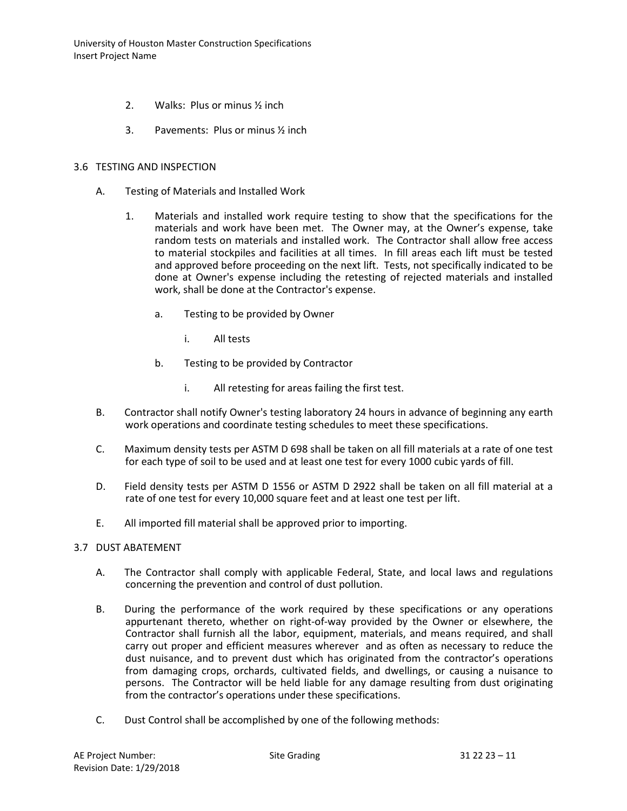- 2. Walks: Plus or minus ½ inch
- 3. Pavements: Plus or minus ½ inch

### 3.6 TESTING AND INSPECTION

- A. Testing of Materials and Installed Work
	- 1. Materials and installed work require testing to show that the specifications for the materials and work have been met. The Owner may, at the Owner's expense, take random tests on materials and installed work. The Contractor shall allow free access to material stockpiles and facilities at all times. In fill areas each lift must be tested and approved before proceeding on the next lift. Tests, not specifically indicated to be done at Owner's expense including the retesting of rejected materials and installed work, shall be done at the Contractor's expense.
		- a. Testing to be provided by Owner
			- i. All tests
		- b. Testing to be provided by Contractor
			- i. All retesting for areas failing the first test.
- B. Contractor shall notify Owner's testing laboratory 24 hours in advance of beginning any earth work operations and coordinate testing schedules to meet these specifications.
- C. Maximum density tests per ASTM D 698 shall be taken on all fill materials at a rate of one test for each type of soil to be used and at least one test for every 1000 cubic yards of fill.
- D. Field density tests per ASTM D 1556 or ASTM D 2922 shall be taken on all fill material at a rate of one test for every 10,000 square feet and at least one test per lift.
- E. All imported fill material shall be approved prior to importing.

### 3.7 DUST ABATEMENT

- A. The Contractor shall comply with applicable Federal, State, and local laws and regulations concerning the prevention and control of dust pollution.
- B. During the performance of the work required by these specifications or any operations appurtenant thereto, whether on right-of-way provided by the Owner or elsewhere, the Contractor shall furnish all the labor, equipment, materials, and means required, and shall carry out proper and efficient measures wherever and as often as necessary to reduce the dust nuisance, and to prevent dust which has originated from the contractor's operations from damaging crops, orchards, cultivated fields, and dwellings, or causing a nuisance to persons. The Contractor will be held liable for any damage resulting from dust originating from the contractor's operations under these specifications.
- C. Dust Control shall be accomplished by one of the following methods: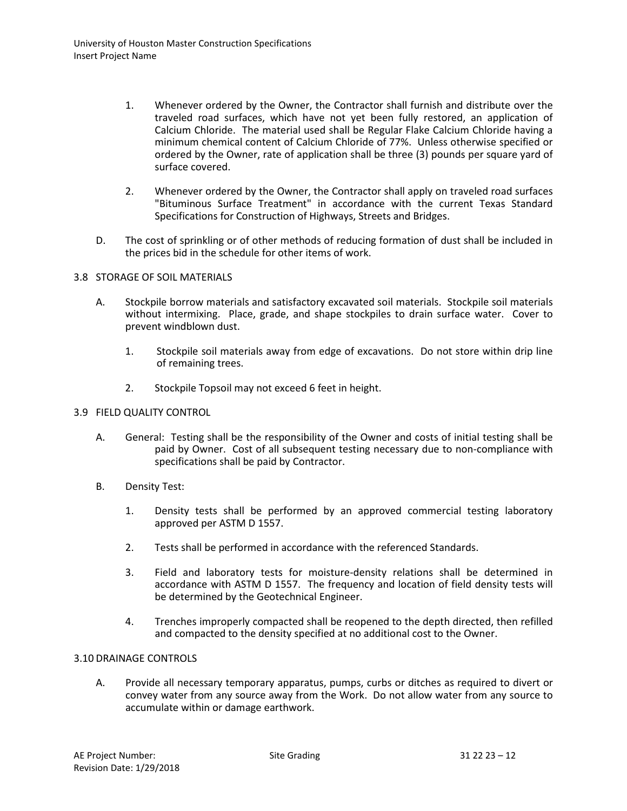- 1. Whenever ordered by the Owner, the Contractor shall furnish and distribute over the traveled road surfaces, which have not yet been fully restored, an application of Calcium Chloride. The material used shall be Regular Flake Calcium Chloride having a minimum chemical content of Calcium Chloride of 77%. Unless otherwise specified or ordered by the Owner, rate of application shall be three (3) pounds per square yard of surface covered.
- 2. Whenever ordered by the Owner, the Contractor shall apply on traveled road surfaces "Bituminous Surface Treatment" in accordance with the current Texas Standard Specifications for Construction of Highways, Streets and Bridges.
- D. The cost of sprinkling or of other methods of reducing formation of dust shall be included in the prices bid in the schedule for other items of work.
- 3.8 STORAGE OF SOIL MATERIALS
	- A. Stockpile borrow materials and satisfactory excavated soil materials. Stockpile soil materials without intermixing. Place, grade, and shape stockpiles to drain surface water. Cover to prevent windblown dust.
		- 1. Stockpile soil materials away from edge of excavations. Do not store within drip line of remaining trees.
		- 2. Stockpile Topsoil may not exceed 6 feet in height.

#### 3.9 FIELD QUALITY CONTROL

- A. General: Testing shall be the responsibility of the Owner and costs of initial testing shall be paid by Owner. Cost of all subsequent testing necessary due to non-compliance with specifications shall be paid by Contractor.
- B. Density Test:
	- 1. Density tests shall be performed by an approved commercial testing laboratory approved per ASTM D 1557.
	- 2. Tests shall be performed in accordance with the referenced Standards.
	- 3. Field and laboratory tests for moisture-density relations shall be determined in accordance with ASTM D 1557. The frequency and location of field density tests will be determined by the Geotechnical Engineer.
	- 4. Trenches improperly compacted shall be reopened to the depth directed, then refilled and compacted to the density specified at no additional cost to the Owner.

## 3.10 DRAINAGE CONTROLS

A. Provide all necessary temporary apparatus, pumps, curbs or ditches as required to divert or convey water from any source away from the Work. Do not allow water from any source to accumulate within or damage earthwork.